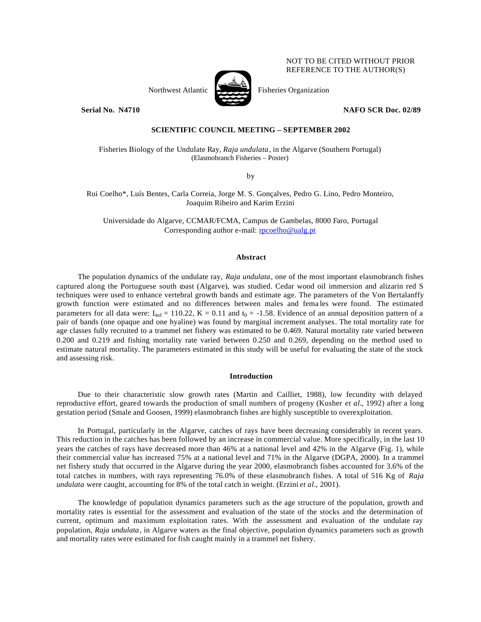NOT TO BE CITED WITHOUT PRIOR REFERENCE TO THE AUTHOR(S)

Northwest Atlantic Fisheries Organization

**Serial No. N4710 NAFO SCR Doc. 02/89** 

# **SCIENTIFIC COUNCIL MEETING – SEPTEMBER 2002**

Fisheries Biology of the Undulate Ray, *Raja undulata*, in the Algarve (Southern Portugal) (Elasmobranch Fisheries – Poster)

by

# Rui Coelho\*, Luís Bentes, Carla Correia, Jorge M. S. Gonçalves, Pedro G. Lino, Pedro Monteiro, Joaquim Ribeiro and Karim Erzini

Universidade do Algarve, CCMAR/FCMA, Campus de Gambelas, 8000 Faro, Portugal Corresponding author e-mail: rpcoelho@ualg.pt

## **Abstract**

The population dynamics of the undulate ray, *Raja undulata*, one of the most important elasmobranch fishes captured along the Portuguese south coast (Algarve), was studied. Cedar wood oil immersion and alizarin red S techniques were used to enhance vertebral growth bands and estimate age. The parameters of the Von Bertalanffy growth function were estimated and no differences between males and fema les were found. The estimated parameters for all data were:  $L_{inf} = 110.22$ ,  $K = 0.11$  and  $t_0 = -1.58$ . Evidence of an annual deposition pattern of a pair of bands (one opaque and one hyaline) was found by marginal increment analyses. The total mortality rate for age classes fully recruited to a trammel net fishery was estimated to be 0.469. Natural mortality rate varied between 0.200 and 0.219 and fishing mortality rate varied between 0.250 and 0.269, depending on the method used to estimate natural mortality. The parameters estimated in this study will be useful for evaluating the state of the stock and assessing risk.

## **Introduction**

Due to their characteristic slow growth rates (Martin and Cailliet, 1988), low fecundity with delayed reproductive effort, geared towards the production of small numbers of progeny (Kusher *et al.*, 1992) after a long gestation period (Smale and Goosen, 1999) elasmobranch fishes are highly susceptible to overexploitation.

In Portugal, particularly in the Algarve, catches of rays have been decreasing considerably in recent years. This reduction in the catches has been followed by an increase in commercial value. More specifically, in the last 10 years the catches of rays have decreased more than 46% at a national level and 42% in the Algarve (Fig. 1), while their commercial value has increased 75% at a national level and 71% in the Algarve (DGPA, 2000). In a trammel net fishery study that occurred in the Algarve during the year 2000, elasmobranch fishes accounted for 3.6% of the total catches in numbers, with rays representing 76.0% of these elasmobranch fishes. A total of 516 Kg of *Raja undulata* were caught, accounting for 8% of the total catch in weight. (Erzini *et al.*, 2001).

The knowledge of population dynamics parameters such as the age structure of the population, growth and mortality rates is essential for the assessment and evaluation of the state of the stocks and the determination of current, optimum and maximum exploitation rates. With the assessment and evaluation of the undulate ray population, *Raja undulata*, in Algarve waters as the final objective, population dynamics parameters such as growth and mortality rates were estimated for fish caught mainly in a trammel net fishery.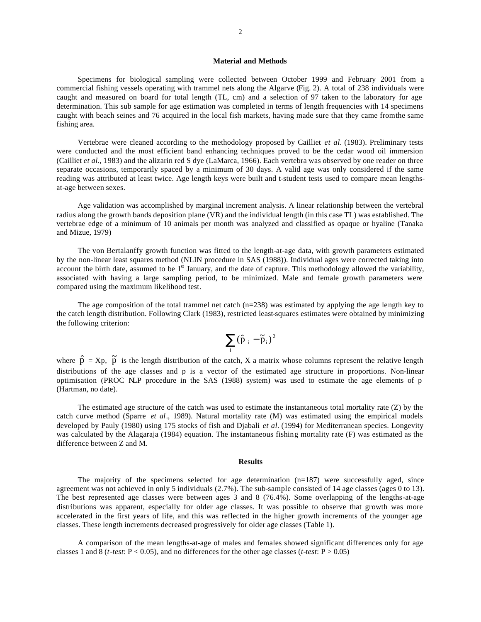## **Material and Methods**

Specimens for biological sampling were collected between October 1999 and February 2001 from a commercial fishing vessels operating with trammel nets along the Algarve (Fig. 2). A total of 238 individuals were caught and measured on board for total length (TL, cm) and a selection of 97 taken to the laboratory for age determination. This sub sample for age estimation was completed in terms of length frequencies with 14 specimens caught with beach seines and 76 acquired in the local fish markets, having made sure that they came from the same fishing area.

Vertebrae were cleaned according to the methodology proposed by Cailliet *et al.* (1983). Preliminary tests were conducted and the most efficient band enhancing techniques proved to be the cedar wood oil immersion (Cailliet *et al.*, 1983) and the alizarin red S dye (LaMarca, 1966). Each vertebra was observed by one reader on three separate occasions, temporarily spaced by a minimum of 30 days. A valid age was only considered if the same reading was attributed at least twice. Age length keys were built and t-student tests used to compare mean lengthsat-age between sexes.

Age validation was accomplished by marginal increment analysis. A linear relationship between the vertebral radius along the growth bands deposition plane (VR) and the individual length (in this case TL) was established. The vertebrae edge of a minimum of 10 animals per month was analyzed and classified as opaque or hyaline (Tanaka and Mizue, 1979)

The von Bertalanffy growth function was fitted to the length-at-age data, with growth parameters estimated by the non-linear least squares method (NLIN procedure in SAS (1988)). Individual ages were corrected taking into account the birth date, assumed to be  $1<sup>st</sup>$  January, and the date of capture. This methodology allowed the variability, associated with having a large sampling period, to be minimized. Male and female growth parameters were compared using the maximum likelihood test.

The age composition of the total trammel net catch  $(n=238)$  was estimated by applying the age length key to the catch length distribution. Following Clark (1983), restricted least-squares estimates were obtained by minimizing the following criterion:

$$
\sum_i (\hat{p}_{i}-\widetilde{p}_{i})^2
$$

where  $\hat{p} = Xp$ ,  $\tilde{p}$  is the length distribution of the catch, X a matrix whose columns represent the relative length distributions of the age classes and p is a vector of the estimated age structure in proportions. Non-linear optimisation (PROC NLP procedure in the SAS (1988) system) was used to estimate the age elements of p (Hartman, no date).

The estimated age structure of the catch was used to estimate the instantaneous total mortality rate (Z) by the catch curve method (Sparre *et al*., 1989). Natural mortality rate (M) was estimated using the empirical models developed by Pauly (1980) using 175 stocks of fish and Djabali *et al.* (1994) for Mediterranean species. Longevity was calculated by the Alagaraja (1984) equation. The instantaneous fishing mortality rate (F) was estimated as the difference between Z and M.

### **Results**

The majority of the specimens selected for age determination  $(n=187)$  were successfully aged, since agreement was not achieved in only 5 individuals (2.7%). The sub-sample consisted of 14 age classes (ages 0 to 13). The best represented age classes were between ages 3 and 8 (76.4%). Some overlapping of the lengths-at-age distributions was apparent, especially for older age classes. It was possible to observe that growth was more accelerated in the first years of life, and this was reflected in the higher growth increments of the younger age classes. These length increments decreased progressively for older age classes (Table 1).

A comparison of the mean lengths-at-age of males and females showed significant differences only for age classes 1 and 8 (*t-test*:  $P < 0.05$ ), and no differences for the other age classes (*t-test*:  $P > 0.05$ )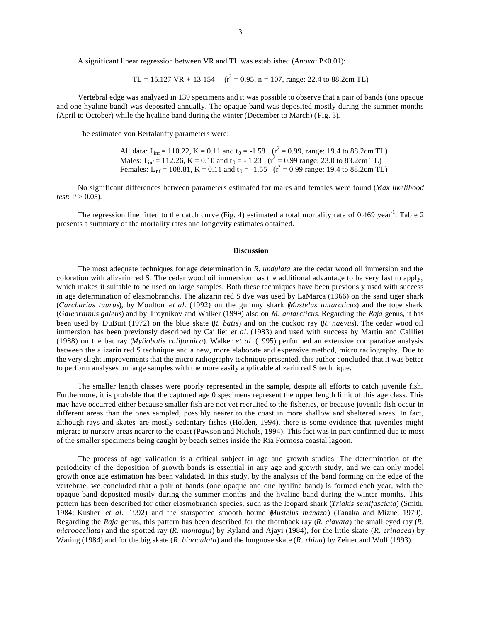A significant linear regression between VR and TL was established (*Anova*: P<0.01):

TL = 15.127 VR + 13.154  $(r^2 = 0.95, n = 107, \text{ range: } 22.4 \text{ to } 88.2 \text{cm} \text{ TL})$ 

Vertebral edge was analyzed in 139 specimens and it was possible to observe that a pair of bands (one opaque and one hyaline band) was deposited annually. The opaque band was deposited mostly during the summer months (April to October) while the hyaline band during the winter (December to March) (Fig. 3).

The estimated von Bertalanffy parameters were:

All data:  $L_{\text{inf}} = 110.22$ , K = 0.11 and t<sub>0</sub> = -1.58 ( $r^2 = 0.99$ , range: 19.4 to 88.2cm TL) Males:  $L_{\text{inf}} = 112.26$ ,  $K = 0.10$  and  $t_0 = -1.23$   $(r^2 = 0.99$  range: 23.0 to 83.2cm TL) Females:  $L_{\text{inf}} = 108.81$ , K = 0.11 and t<sub>0</sub> = -1.55 ( $r^2 = 0.99$  range: 19.4 to 88.2cm TL)

No significant differences between parameters estimated for males and females were found (*Max likelihood test*:  $P > 0.05$ ).

The regression line fitted to the catch curve (Fig. 4) estimated a total mortality rate of 0.469 year<sup>1</sup>. Table 2 presents a summary of the mortality rates and longevity estimates obtained.

## **Discussion**

The most adequate techniques for age determination in *R. undulata* are the cedar wood oil immersion and the coloration with alizarin red S. The cedar wood oil immersion has the additional advantage to be very fast to apply, which makes it suitable to be used on large samples. Both these techniques have been previously used with success in age determination of elasmobranchs. The alizarin red S dye was used by LaMarca (1966) on the sand tiger shark (*Carcharias taurus*), by Moulton *et al.* (1992) on the gummy shark (*Mustelus antarcticus*) and the tope shark (*Galeorhinus galeus*) and by Troynikov and Walker (1999) also on *M. antarcticus*. Regarding the *Raja* genus, it has been used by DuBuit (1972) on the blue skate (*R. batis*) and on the cuckoo ray (*R. naevus*). The cedar wood oil immersion has been previously described by Cailliet *et al.* (1983) and used with success by Martin and Cailliet (1988) on the bat ray (*Myliobatis californica*). Walker *et al.* (1995) performed an extensive comparative analysis between the alizarin red S technique and a new, more elaborate and expensive method, micro radiography. Due to the very slight improvements that the micro radiography technique presented, this author concluded that it was better to perform analyses on large samples with the more easily applicable alizarin red S technique.

The smaller length classes were poorly represented in the sample, despite all efforts to catch juvenile fish. Furthermore, it is probable that the captured age 0 specimens represent the upper length limit of this age class. This may have occurred either because smaller fish are not yet recruited to the fisheries, or because juvenile fish occur in different areas than the ones sampled, possibly nearer to the coast in more shallow and sheltered areas. In fact, although rays and skates are mostly sedentary fishes (Holden, 1994), there is some evidence that juveniles might migrate to nursery areas nearer to the coast (Pawson and Nichols, 1994). This fact was in part confirmed due to most of the smaller specimens being caught by beach seines inside the Ria Formosa coastal lagoon.

The process of age validation is a critical subject in age and growth studies. The determination of the periodicity of the deposition of growth bands is essential in any age and growth study, and we can only model growth once age estimation has been validated. In this study, by the analysis of the band forming on the edge of the vertebrae, we concluded that a pair of bands (one opaque and one hyaline band) is formed each year, with the opaque band deposited mostly during the summer months and the hyaline band during the winter months. This pattern has been described for other elasmobranch species, such as the leopard shark (*Triakis semifasciata*) (Smith, 1984; Kusher *et al.*, 1992) and the starspotted smooth hound (*Mustelus manazo*) (Tanaka and Mizue, 1979). Regarding the *Raja* genus, this pattern has been described for the thornback ray (*R. clavata*) the small eyed ray (*R. microocellata*) and the spotted ray (*R. montagui*) by Ryland and Ajayi (1984), for the little skate (*R. erinacea*) by Waring (1984) and for the big skate (*R. binoculata*) and the longnose skate (*R. rhina*) by Zeiner and Wolf (1993).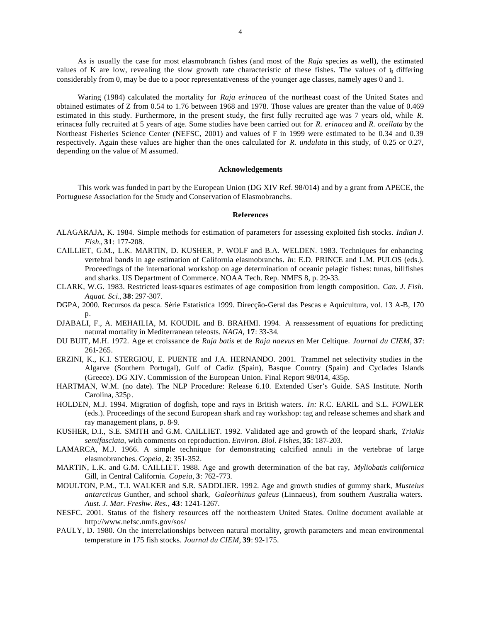As is usually the case for most elasmobranch fishes (and most of the *Raja* species as well), the estimated values of K are low, revealing the slow growth rate characteristic of these fishes. The values of  $\mathfrak{h}_0$  differing considerably from 0, may be due to a poor representativeness of the younger age classes, namely ages 0 and 1.

Waring (1984) calculated the mortality for *Raja erinacea* of the northeast coast of the United States and obtained estimates of Z from 0.54 to 1.76 between 1968 and 1978. Those values are greater than the value of 0.469 estimated in this study. Furthermore, in the present study, the first fully recruited age was 7 years old, while *R.*  erinacea fully recruited at 5 years of age. Some studies have been carried out for *R. erinacea* and *R. ocellata* by the Northeast Fisheries Science Center (NEFSC, 2001) and values of F in 1999 were estimated to be 0.34 and 0.39 respectively. Again these values are higher than the ones calculated for *R. undulata* in this study, of 0.25 or 0.27, depending on the value of M assumed.

#### **Acknowledgements**

This work was funded in part by the European Union (DG XIV Ref. 98/014) and by a grant from APECE, the Portuguese Association for the Study and Conservation of Elasmobranchs.

## **References**

- ALAGARAJA, K. 1984. Simple methods for estimation of parameters for assessing exploited fish stocks. *Indian J. Fish.*, **31**: 177-208.
- CAILLIET, G.M., L.K. MARTIN, D. KUSHER, P. WOLF and B.A. WELDEN. 1983. Techniques for enhancing vertebral bands in age estimation of California elasmobranchs. *In*: E.D. PRINCE and L.M. PULOS (eds.). Proceedings of the international workshop on age determination of oceanic pelagic fishes: tunas, billfishes and sharks. US Department of Commerce. NOAA Tech. Rep. NMFS 8, p. 29-33.
- CLARK, W.G. 1983. Restricted least-squares estimates of age composition from length composition. *Can. J. Fish. Aquat. Sci.*, **38**: 297-307.
- DGPA, 2000. Recursos da pesca. Série Estatística 1999. Direcção-Geral das Pescas e Aquicultura, vol. 13 A-B, 170 p.
- DJABALI, F., A. MEHAILIA, M. KOUDIL and B. BRAHMI. 1994. A reassessment of equations for predicting natural mortality in Mediterranean teleosts. *NAGA*, **17**: 33-34.
- DU BUIT, M.H. 1972. Age et croissance de *Raja batis* et de *Raja naevus* en Mer Celtique. *Journal du CIEM*, **37**: 261-265.
- ERZINI, K., K.I. STERGIOU, E. PUENTE and J.A. HERNANDO. 2001. Trammel net selectivity studies in the Algarve (Southern Portugal), Gulf of Cadiz (Spain), Basque Country (Spain) and Cyclades Islands (Greece). DG XIV. Commission of the European Union. Final Report 98/014, 435p.
- HARTMAN, W.M. (no date). The NLP Procedure: Release 6.10. Extended User's Guide. SAS Institute. North Carolina, 325p.
- HOLDEN, M.J. 1994. Migration of dogfish, tope and rays in British waters. *In:* R.C. EARIL and S.L. FOWLER (eds.). Proceedings of the second European shark and ray workshop: tag and release schemes and shark and ray management plans, p. 8-9.
- KUSHER, D.I., S.E. SMITH and G.M. CAILLIET. 1992. Validated age and growth of the leopard shark, *Triakis semifasciata*, with comments on reproduction. *Environ. Biol. Fishes*, **35**: 187-203.
- LAMARCA, M.J. 1966. A simple technique for demonstrating calcified annuli in the vertebrae of large elasmobranches. *Copeia*, **2**: 351-352.
- MARTIN, L.K. and G.M. CAILLIET. 1988. Age and growth determination of the bat ray, *Myliobatis californica* Gill, in Central California. *Copeia*, **3**: 762-773.
- MOULTON, P.M., T.I. WALKER and S.R. SADDLIER. 1992. Age and growth studies of gummy shark, *Mustelus antarcticus* Gunther, and school shark, *Galeorhinus galeus* (Linnaeus), from southern Australia waters. *Aust. J. Mar. Freshw. Res.*, **43**: 1241-1267.
- NESFC. 2001. Status of the fishery resources off the northeastern United States. Online document available at http://www.nefsc.nmfs.gov/sos/
- PAULY, D. 1980. On the interrelationships between natural mortality, growth parameters and mean environmental temperature in 175 fish stocks. *Journal du CIEM*, **39**: 92-175.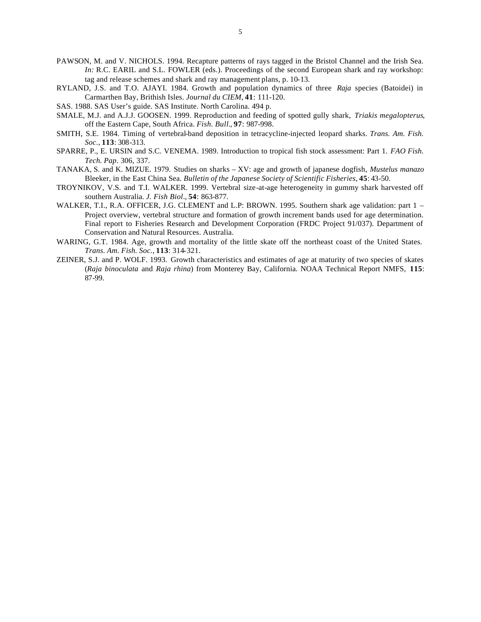- PAWSON, M. and V. NICHOLS. 1994. Recapture patterns of rays tagged in the Bristol Channel and the Irish Sea. *In:* R.C. EARIL and S.L. FOWLER (eds.). Proceedings of the second European shark and ray workshop: tag and release schemes and shark and ray management plans, p. 10-13.
- RYLAND, J.S. and T.O. AJAYI. 1984. Growth and population dynamics of three *Raja* species (Batoidei) in Carmarthen Bay, Brithish Isles. *Journal du CIEM*, **41**: 111-120.
- SAS. 1988. SAS User's guide. SAS Institute. North Carolina. 494 p.
- SMALE, M.J. and A.J.J. GOOSEN. 1999. Reproduction and feeding of spotted gully shark, *Triakis megalopterus*, off the Eastern Cape, South Africa. *Fish. Bull.*, **97**: 987-998.
- SMITH, S.E. 1984. Timing of vertebral-band deposition in tetracycline-injected leopard sharks. *Trans. Am. Fish. Soc.*, **113**: 308-313.
- SPARRE, P., E. URSIN and S.C. VENEMA. 1989. Introduction to tropical fish stock assessment: Part 1. *FAO Fish. Tech. Pap*. 306, 337.
- TANAKA, S. and K. MIZUE. 1979. Studies on sharks XV: age and growth of japanese dogfish, *Mustelus manazo* Bleeker, in the East China Sea. *Bulletin of the Japanese Society of Scientific Fisheries*, **45**: 43-50.
- TROYNIKOV, V.S. and T.I. WALKER. 1999. Vertebral size-at-age heterogeneity in gummy shark harvested off southern Australia. *J. Fish Biol.*, **54**: 863-877.
- WALKER, T.I., R.A. OFFICER, J.G. CLEMENT and L.P: BROWN. 1995. Southern shark age validation: part 1 Project overview, vertebral structure and formation of growth increment bands used for age determination. Final report to Fisheries Research and Development Corporation (FRDC Project 91/037). Department of Conservation and Natural Resources. Australia.
- WARING, G.T. 1984. Age, growth and mortality of the little skate off the northeast coast of the United States. *Trans. Am. Fish. Soc.*, **113**: 314-321.
- ZEINER, S.J. and P. WOLF. 1993. Growth characteristics and estimates of age at maturity of two species of skates (*Raja binoculata* and *Raja rhina*) from Monterey Bay, California. NOAA Technical Report NMFS, **115**: 87-99.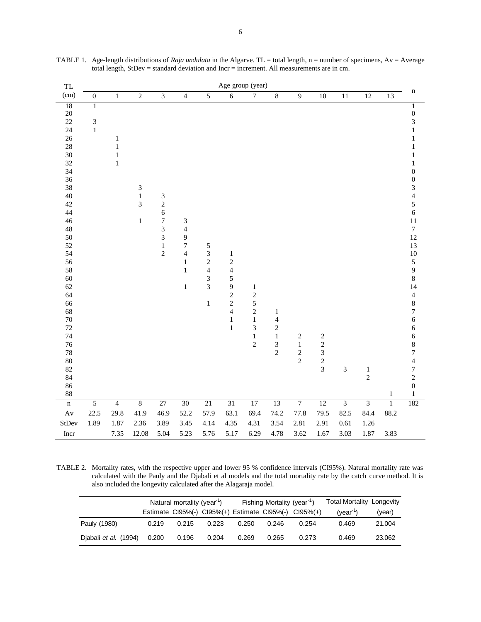| TL                                                                                                                                                                                                                               | Age group (year)                                   |                                            |                                                                 |                                                                                              |                                                                                                                       |                                                                                      |                                                                                                                             |                                                                                                         |                                                                                |                                      |                                                        |                         |                           |                |                                                                                                                                                                                                                                                                                                                                                                                                                                                                             |
|----------------------------------------------------------------------------------------------------------------------------------------------------------------------------------------------------------------------------------|----------------------------------------------------|--------------------------------------------|-----------------------------------------------------------------|----------------------------------------------------------------------------------------------|-----------------------------------------------------------------------------------------------------------------------|--------------------------------------------------------------------------------------|-----------------------------------------------------------------------------------------------------------------------------|---------------------------------------------------------------------------------------------------------|--------------------------------------------------------------------------------|--------------------------------------|--------------------------------------------------------|-------------------------|---------------------------|----------------|-----------------------------------------------------------------------------------------------------------------------------------------------------------------------------------------------------------------------------------------------------------------------------------------------------------------------------------------------------------------------------------------------------------------------------------------------------------------------------|
| (cm)                                                                                                                                                                                                                             | $\boldsymbol{0}$                                   | $\,1$                                      | $\overline{2}$                                                  | $\overline{3}$                                                                               | $\overline{4}$                                                                                                        | $\overline{5}$                                                                       | $\overline{6}$                                                                                                              | $\overline{7}$                                                                                          | $\bf 8$                                                                        | $\overline{9}$                       | $\overline{10}$                                        | $\overline{11}$         | 12                        | 13             | $\mathbf n$                                                                                                                                                                                                                                                                                                                                                                                                                                                                 |
| 18<br>$20\,$<br>22<br>24<br>26<br>28<br>30<br>32<br>34<br>36<br>38<br>40<br>42<br>44<br>46<br>48<br>50<br>52<br>54<br>56<br>58<br>60<br>62<br>64<br>66<br>68<br>$70\,$<br>72<br>74<br>76<br>78<br>80<br>82<br>84<br>86<br>$88\,$ | $\overline{1}$<br>$\overline{\mathbf{3}}$<br>$\,1$ | $\,1$<br>$\,1\,$<br>$\,1\,$<br>$\mathbf 1$ | $\ensuremath{\mathfrak{Z}}$<br>$\,1$<br>$\overline{3}$<br>$\,1$ | 3<br>$\overline{c}$<br>6<br>$\overline{7}$<br>3<br>$\overline{3}$<br>$\,1$<br>$\overline{c}$ | $\mathfrak{Z}$<br>$\overline{4}$<br>9<br>$\boldsymbol{7}$<br>$\overline{\mathbf{4}}$<br>$\,1\,$<br>$\,1\,$<br>$\,1\,$ | 5<br>3<br>$\overline{c}$<br>$\overline{\mathcal{L}}$<br>$\overline{3}$<br>3<br>$\,1$ | $\,1\,$<br>$\frac{2}{4}$<br>5<br>$\overline{9}$<br>$\overline{c}$<br>$\overline{c}$<br>$\overline{4}$<br>$\,1\,$<br>$\,1\,$ | $\mathbf{1}$<br>$\overline{\mathbf{c}}$<br>5<br>$\overline{c}$<br>$\,1$<br>3<br>$\,1$<br>$\overline{c}$ | $\mathbf{1}$<br>$\overline{4}$<br>$\boldsymbol{2}$<br>$\,1$<br>3<br>$\sqrt{2}$ | $\sqrt{2}$<br>$\,1$<br>$\frac{2}{2}$ | $\begin{array}{c}\n2 \\ 2 \\ 3 \\ 2 \\ 3\n\end{array}$ | 3                       | $\,1\,$<br>$\overline{2}$ | $\,1$          | $\overline{1}$<br>$\boldsymbol{0}$<br>3<br>$\,1$<br>$\,1$<br>$\,1$<br>$\mathbf{1}$<br>$\,1$<br>$\boldsymbol{0}$<br>$\boldsymbol{0}$<br>$\frac{3}{4}$<br>5<br>$\overline{6}$<br>11<br>$\boldsymbol{7}$<br>12<br>13<br>$10\,$<br>5<br>$\frac{9}{8}$<br>$14$<br>$\overline{\mathcal{L}}$<br>$\begin{array}{c} 8 \\ 7 \end{array}$<br>$\sqrt{6}$<br>6<br>6<br>$\begin{array}{c} 8 \\ 7 \\ 4 \end{array}$<br>$\overline{7}$<br>$\overline{c}$<br>$\boldsymbol{0}$<br>$\mathbf 1$ |
| $\mathbf n$                                                                                                                                                                                                                      | $\overline{5}$                                     | $\overline{4}$                             | $\overline{8}$                                                  | $27\,$                                                                                       | $30\,$                                                                                                                | $21\,$                                                                               | $\overline{31}$                                                                                                             | $17\,$                                                                                                  | $\overline{13}$                                                                | $\overline{7}$                       | $\overline{12}$                                        | $\overline{\mathbf{3}}$ | $\overline{\mathbf{3}}$   | $\overline{1}$ | 182                                                                                                                                                                                                                                                                                                                                                                                                                                                                         |
| $\mathbf{A}\mathbf{v}$                                                                                                                                                                                                           | 22.5                                               | 29.8                                       | 41.9                                                            | 46.9                                                                                         | 52.2                                                                                                                  | 57.9                                                                                 | 63.1                                                                                                                        | 69.4                                                                                                    | 74.2                                                                           | 77.8                                 | 79.5                                                   | 82.5                    | 84.4                      | 88.2           |                                                                                                                                                                                                                                                                                                                                                                                                                                                                             |
| StDev                                                                                                                                                                                                                            | 1.89                                               | 1.87                                       | 2.36                                                            | 3.89                                                                                         | 3.45                                                                                                                  | 4.14                                                                                 | 4.35                                                                                                                        | 4.31                                                                                                    | 3.54                                                                           | 2.81                                 | 2.91                                                   | 0.61                    | $1.26\,$                  |                |                                                                                                                                                                                                                                                                                                                                                                                                                                                                             |
| Incr                                                                                                                                                                                                                             |                                                    | 7.35                                       | 12.08                                                           | 5.04                                                                                         | 5.23                                                                                                                  | 5.76                                                                                 | 5.17                                                                                                                        | 6.29                                                                                                    | 4.78                                                                           | 3.62                                 | 1.67                                                   | 3.03                    | 1.87                      | 3.83           |                                                                                                                                                                                                                                                                                                                                                                                                                                                                             |
|                                                                                                                                                                                                                                  |                                                    |                                            |                                                                 |                                                                                              |                                                                                                                       |                                                                                      |                                                                                                                             |                                                                                                         |                                                                                |                                      |                                                        |                         |                           |                |                                                                                                                                                                                                                                                                                                                                                                                                                                                                             |

TABLE 1. Age-length distributions of *Raja undulata* in the Algarve. TL = total length, n = number of specimens, Av = Average total length, StDev = standard deviation and Incr = increment. All measurements are in cm.

TABLE 2. Mortality rates, with the respective upper and lower 95 % confidence intervals (CI95%). Natural mortality rate was calculated with the Pauly and the Djabali et al models and the total mortality rate by the catch curve method. It is also included the longevity calculated after the Alagaraja model.

|                       |       | Natural mortality (year <sup>1</sup> ) |       |       | Fishing Mortality (year <sup>-1</sup> ) |                                                       | <b>Total Mortality Longevity</b> |        |
|-----------------------|-------|----------------------------------------|-------|-------|-----------------------------------------|-------------------------------------------------------|----------------------------------|--------|
|                       |       |                                        |       |       |                                         | Estimate CI95%(-) CI95%(+) Estimate CI95%(-) CI95%(+) | $(vear-1)$                       | (year) |
| Pauly (1980)          | 0.219 | 0.215                                  | 0.223 | 0.250 | 0.246                                   | 0.254                                                 | 0.469                            | 21.004 |
| Djabali et al. (1994) | 0.200 | 0.196                                  | 0.204 | 0.269 | 0.265                                   | 0.273                                                 | 0.469                            | 23.062 |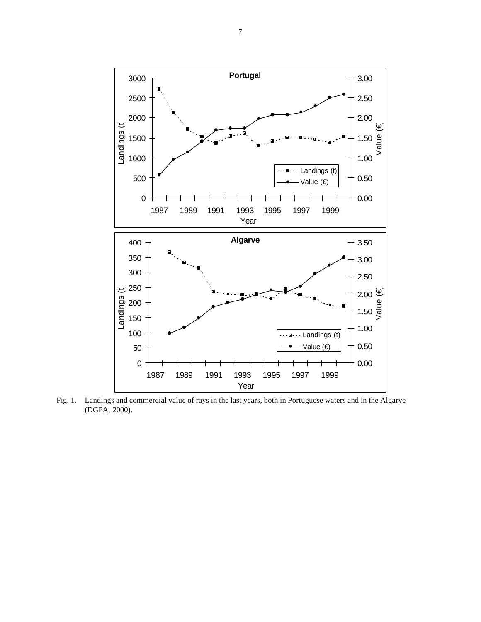

Fig. 1. Landings and commercial value of rays in the last years, both in Portuguese waters and in the Algarve (DGPA, 2000).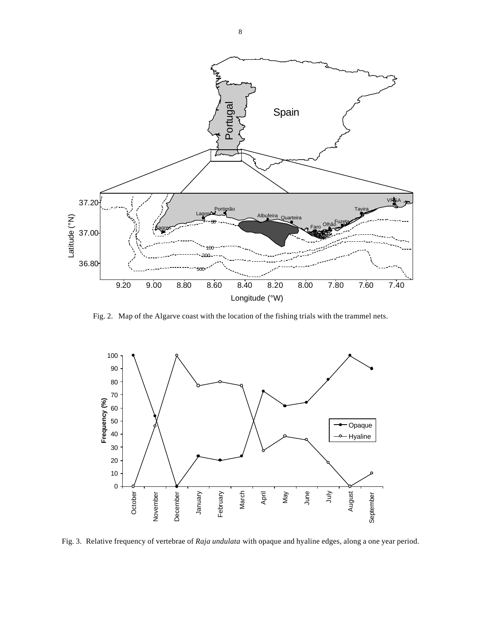

Fig. 2. Map of the Algarve coast with the location of the fishing trials with the trammel nets.



Fig. 3. Relative frequency of vertebrae of *Raja undulata* with opaque and hyaline edges, along a one year period.